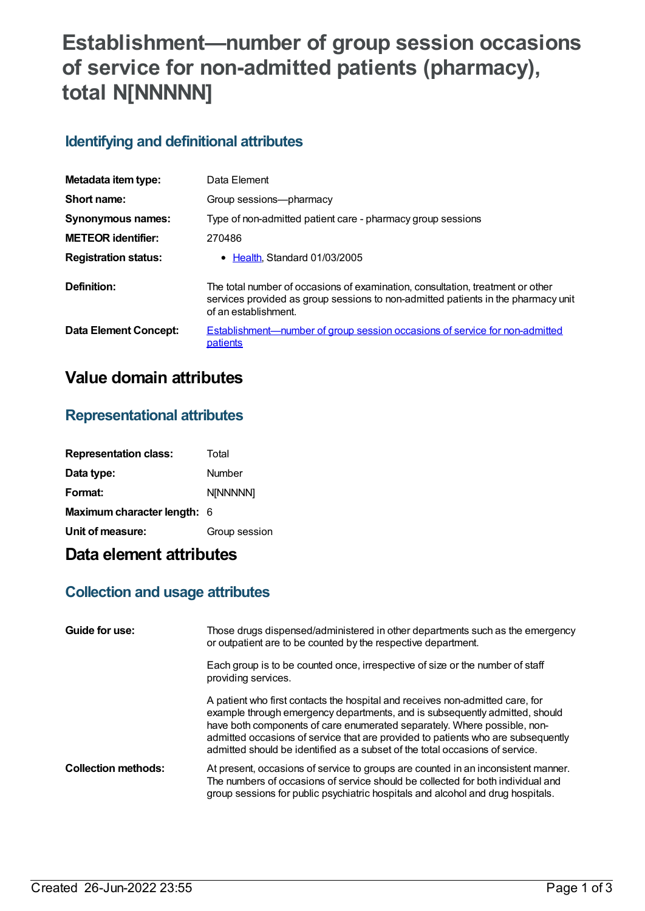# **Establishment—number of group session occasions of service for non-admitted patients (pharmacy), total N[NNNNN]**

### **Identifying and definitional attributes**

| Metadata item type:          | Data Element                                                                                                                                                                                |
|------------------------------|---------------------------------------------------------------------------------------------------------------------------------------------------------------------------------------------|
| Short name:                  | Group sessions-pharmacy                                                                                                                                                                     |
| <b>Synonymous names:</b>     | Type of non-admitted patient care - pharmacy group sessions                                                                                                                                 |
| <b>METEOR</b> identifier:    | 270486                                                                                                                                                                                      |
| <b>Registration status:</b>  | • Health. Standard 01/03/2005                                                                                                                                                               |
| Definition:                  | The total number of occasions of examination, consultation, treatment or other<br>services provided as group sessions to non-admitted patients in the pharmacy unit<br>of an establishment. |
| <b>Data Element Concept:</b> | Establishment—number of group session occasions of service for non-admitted<br>patients                                                                                                     |

## **Value domain attributes**

#### **Representational attributes**

| <b>Representation class:</b> | Total         |
|------------------------------|---------------|
| Data type:                   | Number        |
| Format:                      | N[NNNNN]      |
| Maximum character length: 6  |               |
| Unit of measure:             | Group session |

## **Data element attributes**

### **Collection and usage attributes**

| Guide for use:             | Those drugs dispensed/administered in other departments such as the emergency<br>or outpatient are to be counted by the respective department.                                                                                                                                                                                                                                                               |
|----------------------------|--------------------------------------------------------------------------------------------------------------------------------------------------------------------------------------------------------------------------------------------------------------------------------------------------------------------------------------------------------------------------------------------------------------|
|                            | Each group is to be counted once, irrespective of size or the number of staff<br>providing services.                                                                                                                                                                                                                                                                                                         |
|                            | A patient who first contacts the hospital and receives non-admitted care, for<br>example through emergency departments, and is subsequently admitted, should<br>have both components of care enumerated separately. Where possible, non-<br>admitted occasions of service that are provided to patients who are subsequently<br>admitted should be identified as a subset of the total occasions of service. |
| <b>Collection methods:</b> | At present, occasions of service to groups are counted in an inconsistent manner.<br>The numbers of occasions of service should be collected for both individual and<br>group sessions for public psychiatric hospitals and alcohol and drug hospitals.                                                                                                                                                      |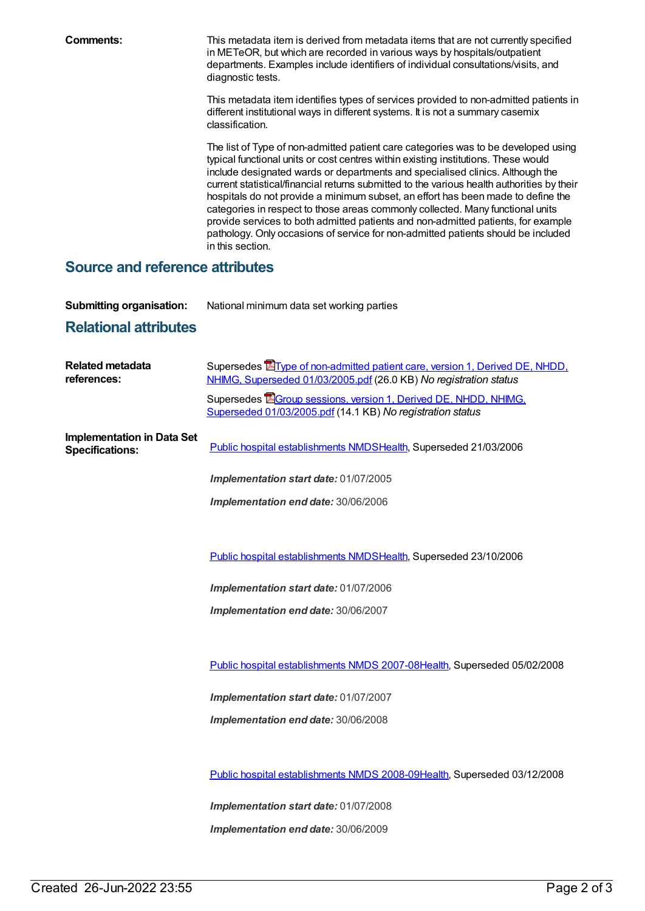**Comments:** This metadata item is derived from metadata items that are not currently specified in METeOR, but which are recorded in various ways by hospitals/outpatient departments. Examples include identifiers of individual consultations/visits, and diagnostic tests.

> This metadata item identifies types of services provided to non-admitted patients in different institutional ways in different systems. It is not a summary casemix classification.

> The list of Type of non-admitted patient care categories was to be developed using typical functional units or cost centres within existing institutions. These would include designated wards or departments and specialised clinics. Although the current statistical/financial returns submitted to the various health authorities by their hospitals do not provide a minimum subset, an effort has been made to define the categories in respect to those areas commonly collected. Many functional units provide services to both admitted patients and non-admitted patients, for example pathology. Only occasions of service for non-admitted patients should be included in this section.

#### **Source and reference attributes**

**Submitting organisation:** National minimum data set working parties

### **Relational attributes**

| Supersedes <b>E</b> Type of non-admitted patient care, version 1, Derived DE, NHDD,<br>NHIMG, Superseded 01/03/2005.pdf (26.0 KB) No registration status |
|----------------------------------------------------------------------------------------------------------------------------------------------------------|
| Supersedes EGroup sessions, version 1, Derived DE, NHDD, NHIMG,<br>Superseded 01/03/2005.pdf (14.1 KB) No registration status                            |
| Public hospital establishments NMDSHealth, Superseded 21/03/2006                                                                                         |
| Implementation start date: 01/07/2005                                                                                                                    |
| Implementation end date: 30/06/2006                                                                                                                      |
|                                                                                                                                                          |
| Public hospital establishments NMDSHealth, Superseded 23/10/2006                                                                                         |
| Implementation start date: 01/07/2006                                                                                                                    |
| Implementation end date: 30/06/2007                                                                                                                      |
|                                                                                                                                                          |
| Public hospital establishments NMDS 2007-08Health, Superseded 05/02/2008                                                                                 |
| Implementation start date: 01/07/2007                                                                                                                    |
| Implementation end date: 30/06/2008                                                                                                                      |
|                                                                                                                                                          |
| Public hospital establishments NMDS 2008-09Health, Superseded 03/12/2008                                                                                 |
| Implementation start date: 01/07/2008                                                                                                                    |
| Implementation end date: 30/06/2009                                                                                                                      |
|                                                                                                                                                          |